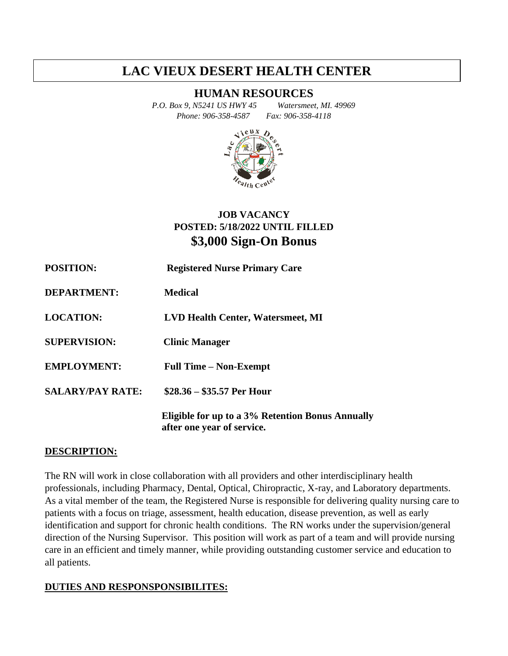# **LAC VIEUX DESERT HEALTH CENTER**

## **HUMAN RESOURCES**

*P.O. Box 9, N5241 US HWY 45 Watersmeet, MI. 49969 Phone: 906-358-4587 Fax: 906-358-4118*



# **JOB VACANCY POSTED: 5/18/2022 UNTIL FILLED \$3,000 Sign-On Bonus**

| <b>POSITION:</b>        | <b>Registered Nurse Primary Care</b>                                           |
|-------------------------|--------------------------------------------------------------------------------|
| <b>DEPARTMENT:</b>      | <b>Medical</b>                                                                 |
| <b>LOCATION:</b>        | <b>LVD Health Center, Watersmeet, MI</b>                                       |
| <b>SUPERVISION:</b>     | <b>Clinic Manager</b>                                                          |
| <b>EMPLOYMENT:</b>      | <b>Full Time – Non-Exempt</b>                                                  |
| <b>SALARY/PAY RATE:</b> | $$28.36 - $35.57$ Per Hour                                                     |
|                         | Eligible for up to a 3% Retention Bonus Annually<br>after one year of service. |

#### **DESCRIPTION:**

The RN will work in close collaboration with all providers and other interdisciplinary health professionals, including Pharmacy, Dental, Optical, Chiropractic, X-ray, and Laboratory departments. As a vital member of the team, the Registered Nurse is responsible for delivering quality nursing care to patients with a focus on triage, assessment, health education, disease prevention, as well as early identification and support for chronic health conditions. The RN works under the supervision/general direction of the Nursing Supervisor. This position will work as part of a team and will provide nursing care in an efficient and timely manner, while providing outstanding customer service and education to all patients.

#### **DUTIES AND RESPONSPONSIBILITES:**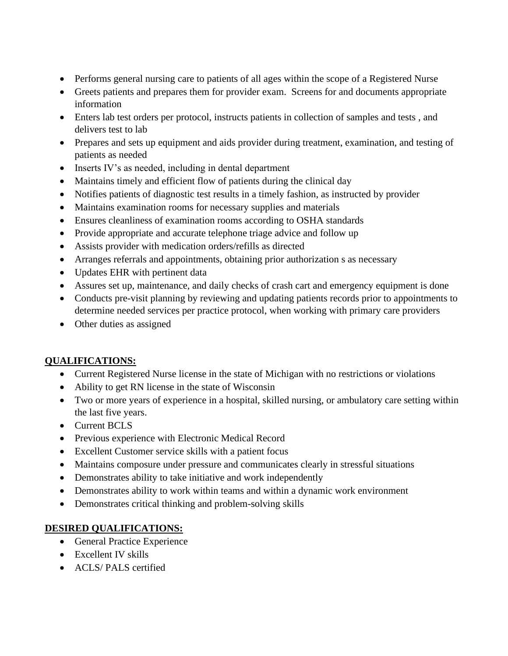- Performs general nursing care to patients of all ages within the scope of a Registered Nurse
- Greets patients and prepares them for provider exam. Screens for and documents appropriate information
- Enters lab test orders per protocol, instructs patients in collection of samples and tests , and delivers test to lab
- Prepares and sets up equipment and aids provider during treatment, examination, and testing of patients as needed
- Inserts IV's as needed, including in dental department
- Maintains timely and efficient flow of patients during the clinical day
- Notifies patients of diagnostic test results in a timely fashion, as instructed by provider
- Maintains examination rooms for necessary supplies and materials
- Ensures cleanliness of examination rooms according to OSHA standards
- Provide appropriate and accurate telephone triage advice and follow up
- Assists provider with medication orders/refills as directed
- Arranges referrals and appointments, obtaining prior authorization s as necessary
- Updates EHR with pertinent data
- Assures set up, maintenance, and daily checks of crash cart and emergency equipment is done
- Conducts pre-visit planning by reviewing and updating patients records prior to appointments to determine needed services per practice protocol, when working with primary care providers
- Other duties as assigned

# **QUALIFICATIONS:**

- Current Registered Nurse license in the state of Michigan with no restrictions or violations
- Ability to get RN license in the state of Wisconsin
- Two or more years of experience in a hospital, skilled nursing, or ambulatory care setting within the last five years.
- Current BCLS
- Previous experience with Electronic Medical Record
- Excellent Customer service skills with a patient focus
- Maintains composure under pressure and communicates clearly in stressful situations
- Demonstrates ability to take initiative and work independently
- Demonstrates ability to work within teams and within a dynamic work environment
- Demonstrates critical thinking and problem-solving skills

# **DESIRED QUALIFICATIONS:**

- General Practice Experience
- Excellent IV skills
- ACLS/ PALS certified